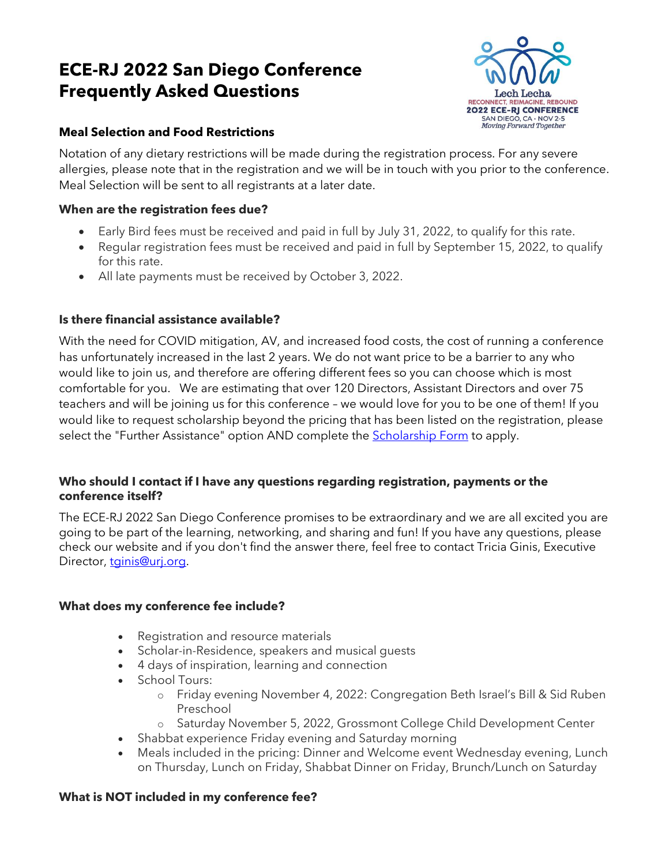# **ECE-RJ 2022 San Diego Conference Frequently Asked Questions**



## **Meal Selection and Food Restrictions**

Notation of any dietary restrictions will be made during the registration process. For any severe allergies, please note that in the registration and we will be in touch with you prior to the conference. Meal Selection will be sent to all registrants at a later date.

## **When are the registration fees due?**

- Early Bird fees must be received and paid in full by July 31, 2022, to qualify for this rate.
- Regular registration fees must be received and paid in full by September 15, 2022, to qualify for this rate.
- All late payments must be received by October 3, 2022.

## **Is there financial assistance available?**

With the need for COVID mitigation, AV, and increased food costs, the cost of running a conference has unfortunately increased in the last 2 years. We do not want price to be a barrier to any who would like to join us, and therefore are offering different fees so you can choose which is most comfortable for you. We are estimating that over 120 Directors, Assistant Directors and over 75 teachers and will be joining us for this conference – we would love for you to be one of them! If you would like to request scholarship beyond the pricing that has been listed on the registration, please select the "Further Assistance" option AND complete the [Scholarship Form](https://forms.gle/Hs8ocnUs82X7oSGy9) to apply.

## **Who should I contact if I have any questions regarding registration, payments or the conference itself?**

The ECE-RJ 2022 San Diego Conference promises to be extraordinary and we are all excited you are going to be part of the learning, networking, and sharing and fun! If you have any questions, please check our website and if you don't find the answer there, feel free to contact Tricia Ginis, Executive Director, tainis@urj.org.

## **What does my conference fee include?**

- Registration and resource materials
- Scholar-in-Residence, speakers and musical guests
- 4 days of inspiration, learning and connection
- School Tours:
	- o Friday evening November 4, 2022: Congregation Beth Israel's Bill & Sid Ruben Preschool
	- Saturday November 5, 2022, Grossmont College Child Development Center
- Shabbat experience Friday evening and Saturday morning
- Meals included in the pricing: Dinner and Welcome event Wednesday evening, Lunch on Thursday, Lunch on Friday, Shabbat Dinner on Friday, Brunch/Lunch on Saturday

## **What is NOT included in my conference fee?**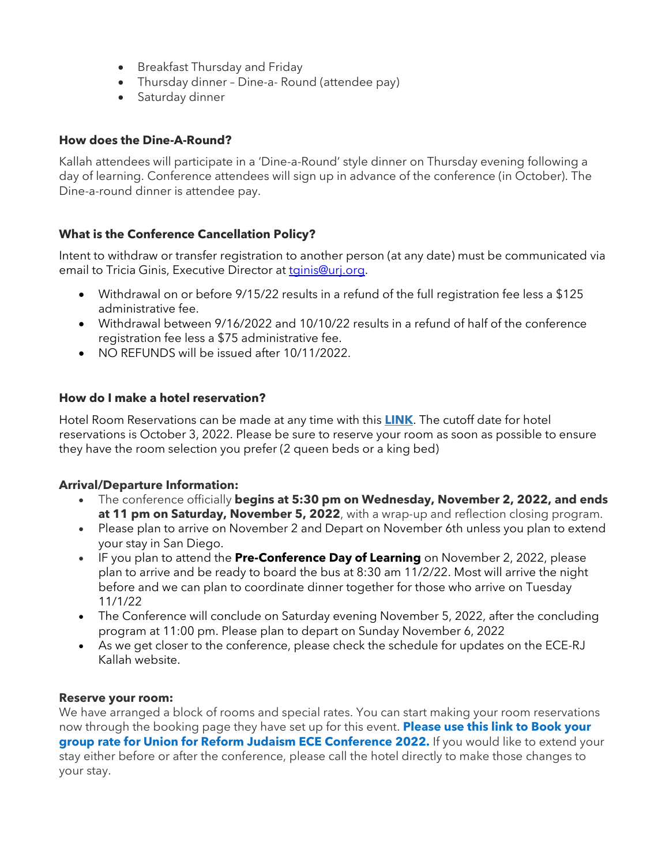- Breakfast Thursday and Friday
- Thursday dinner Dine-a- Round (attendee pay)
- Saturday dinner

#### **How does the Dine-A-Round?**

Kallah attendees will participate in a 'Dine-a-Round' style dinner on Thursday evening following a day of learning. Conference attendees will sign up in advance of the conference (in October). The Dine-a-round dinner is attendee pay.

#### **What is the Conference Cancellation Policy?**

Intent to withdraw or transfer registration to another person (at any date) must be communicated via email to Tricia Ginis, Executive Director at [tginis@urj.org.](mailto:tginis@urj.org)

- Withdrawal on or before 9/15/22 results in a refund of the full registration fee less a \$125 administrative fee.
- Withdrawal between 9/16/2022 and 10/10/22 results in a refund of half of the conference registration fee less a \$75 administrative fee.
- NO REFUNDS will be issued after 10/11/2022.

#### **How do I make a hotel reservation?**

Hotel Room Reservations can be made at any time with this **[LINK](https://www.marriott.com/event-reservations/reservation-link.mi?id=1637360485132&key=GRP&app=resvlink)**. The cutoff date for hotel reservations is October 3, 2022. Please be sure to reserve your room as soon as possible to ensure they have the room selection you prefer (2 queen beds or a king bed)

#### **Arrival/Departure Information:**

- The conference officially **begins at 5:30 pm on Wednesday, November 2, 2022, and ends at 11 pm on Saturday, November 5, 2022**, with a wrap-up and reflection closing program.
- Please plan to arrive on November 2 and Depart on November 6th unless you plan to extend your stay in San Diego.
- IF you plan to attend the **Pre-Conference Day of Learning** on November 2, 2022, please plan to arrive and be ready to board the bus at 8:30 am 11/2/22. Most will arrive the night before and we can plan to coordinate dinner together for those who arrive on Tuesday 11/1/22
- The Conference will conclude on Saturday evening November 5, 2022, after the concluding program at 11:00 pm. Please plan to depart on Sunday November 6, 2022
- As we get closer to the conference, please check the schedule for updates on the ECE-RJ Kallah website.

#### **Reserve your room:**

We have arranged a block of rooms and special rates. You can start making your room reservations now through the booking page they have set up for this event. **[Please](https://www.marriott.com/event-reservations/reservation-link.mi?id=1637360485132&key=GRP&app=resvlink) use this link to [Book](https://www.marriott.com/event-reservations/reservation-link.mi?id=1637360485132&key=GRP&app=resvlink) your group rate for Union for Reform Judaism ECE [Conference](https://www.marriott.com/event-reservations/reservation-link.mi?id=1637360485132&key=GRP&app=resvlink) 2022.** If you would like to extend your stay either before or after the conference, please call the hotel directly to make those changes to your stay.